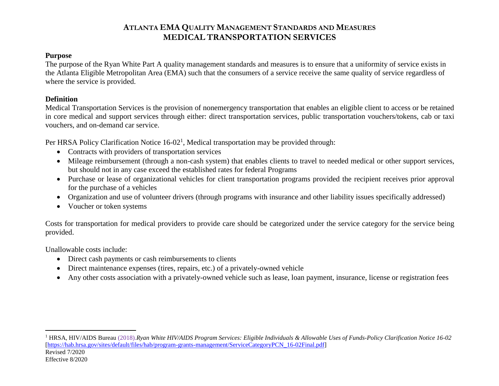#### **Purpose**

The purpose of the Ryan White Part A quality management standards and measures is to ensure that a uniformity of service exists in the Atlanta Eligible Metropolitan Area (EMA) such that the consumers of a service receive the same quality of service regardless of where the service is provided.

### **Definition**

Medical Transportation Services is the provision of nonemergency transportation that enables an eligible client to access or be retained in core medical and support services through either: direct transportation services, public transportation vouchers/tokens, cab or taxi vouchers, and on-demand car service.

Per HRSA Policy Clarification Notice  $16-02<sup>1</sup>$ , Medical transportation may be provided through:

- Contracts with providers of transportation services
- Mileage reimbursement (through a non-cash system) that enables clients to travel to needed medical or other support services, but should not in any case exceed the established rates for federal Programs
- Purchase or lease of organizational vehicles for client transportation programs provided the recipient receives prior approval for the purchase of a vehicles
- Organization and use of volunteer drivers (through programs with insurance and other liability issues specifically addressed)
- Voucher or token systems

Costs for transportation for medical providers to provide care should be categorized under the service category for the service being provided.

Unallowable costs include:

 $\overline{a}$ 

- Direct cash payments or cash reimbursements to clients
- Direct maintenance expenses (tires, repairs, etc.) of a privately-owned vehicle
- Any other costs association with a privately-owned vehicle such as lease, loan payment, insurance, license or registration fees

Revised 7/2020 Effective 8/2020 <sup>1</sup> HRSA, HIV/AIDS Bureau (2018).*Ryan White HIV/AIDS Program Services: Eligible Individuals & Allowable Uses of Funds-Policy Clarification Notice 16-02* [\[https://hab.hrsa.gov/sites/default/files/hab/program-grants-management/ServiceCategoryPCN\\_16-02Final.pdf\]](https://hab.hrsa.gov/sites/default/files/hab/program-grants-management/ServiceCategoryPCN_16-02Final.pdf)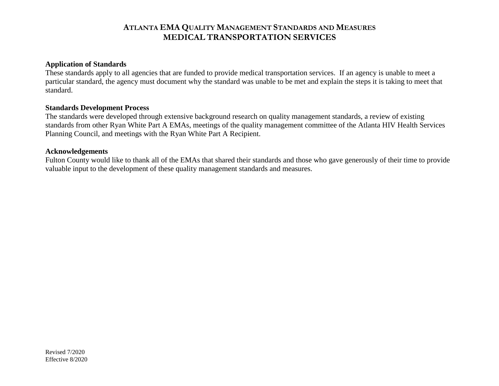#### **Application of Standards**

These standards apply to all agencies that are funded to provide medical transportation services. If an agency is unable to meet a particular standard, the agency must document why the standard was unable to be met and explain the steps it is taking to meet that standard.

#### **Standards Development Process**

The standards were developed through extensive background research on quality management standards, a review of existing standards from other Ryan White Part A EMAs, meetings of the quality management committee of the Atlanta HIV Health Services Planning Council, and meetings with the Ryan White Part A Recipient.

#### **Acknowledgements**

Fulton County would like to thank all of the EMAs that shared their standards and those who gave generously of their time to provide valuable input to the development of these quality management standards and measures.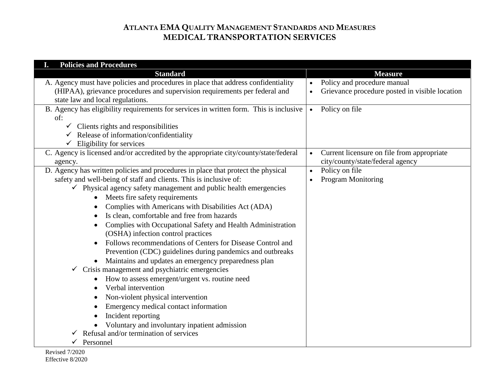| <b>Policies and Procedures</b><br>I.                                                   |                                                         |
|----------------------------------------------------------------------------------------|---------------------------------------------------------|
| <b>Standard</b>                                                                        | <b>Measure</b>                                          |
| A. Agency must have policies and procedures in place that address confidentiality      | Policy and procedure manual                             |
| (HIPAA), grievance procedures and supervision requirements per federal and             | Grievance procedure posted in visible location          |
| state law and local regulations.                                                       |                                                         |
| B. Agency has eligibility requirements for services in written form. This is inclusive | Policy on file<br>$\bullet$                             |
| of:                                                                                    |                                                         |
| Clients rights and responsibilities                                                    |                                                         |
| Release of information/confidentiality<br>✓                                            |                                                         |
| Eligibility for services<br>$\checkmark$                                               |                                                         |
| C. Agency is licensed and/or accredited by the appropriate city/county/state/federal   | Current licensure on file from appropriate<br>$\bullet$ |
| agency.                                                                                | city/county/state/federal agency                        |
| D. Agency has written policies and procedures in place that protect the physical       | Policy on file<br>$\bullet$                             |
| safety and well-being of staff and clients. This is inclusive of:                      | <b>Program Monitoring</b>                               |
| $\checkmark$ Physical agency safety management and public health emergencies           |                                                         |
| Meets fire safety requirements<br>$\bullet$                                            |                                                         |
| Complies with Americans with Disabilities Act (ADA)                                    |                                                         |
| Is clean, comfortable and free from hazards                                            |                                                         |
| Complies with Occupational Safety and Health Administration<br>$\bullet$               |                                                         |
| (OSHA) infection control practices                                                     |                                                         |
| Follows recommendations of Centers for Disease Control and<br>$\bullet$                |                                                         |
| Prevention (CDC) guidelines during pandemics and outbreaks                             |                                                         |
| Maintains and updates an emergency preparedness plan                                   |                                                         |
| Crisis management and psychiatric emergencies<br>$\checkmark$                          |                                                         |
| How to assess emergent/urgent vs. routine need<br>٠                                    |                                                         |
| Verbal intervention                                                                    |                                                         |
| Non-violent physical intervention                                                      |                                                         |
| Emergency medical contact information                                                  |                                                         |
| Incident reporting                                                                     |                                                         |
| Voluntary and involuntary inpatient admission                                          |                                                         |
| Refusal and/or termination of services                                                 |                                                         |
| Personnel                                                                              |                                                         |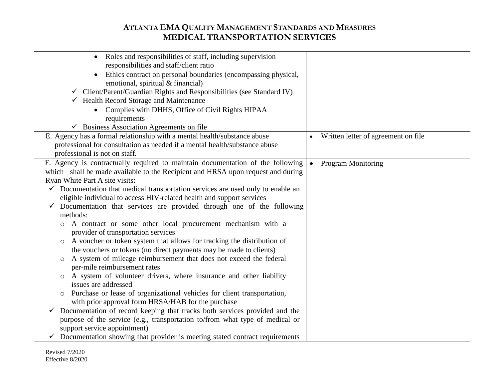| Roles and responsibilities of staff, including supervision<br>$\bullet$<br>responsibilities and staff/client ratio |                                        |
|--------------------------------------------------------------------------------------------------------------------|----------------------------------------|
| Ethics contract on personal boundaries (encompassing physical,<br>$\bullet$                                        |                                        |
| emotional, spiritual & financial)                                                                                  |                                        |
| $\checkmark$ Client/Parent/Guardian Rights and Responsibilities (see Standard IV)                                  |                                        |
| $\checkmark$ Health Record Storage and Maintenance                                                                 |                                        |
| Complies with DHHS, Office of Civil Rights HIPAA                                                                   |                                        |
| requirements                                                                                                       |                                        |
| $\checkmark$ Business Association Agreements on file                                                               |                                        |
| E. Agency has a formal relationship with a mental health/substance abuse                                           | Written letter of agreement on file    |
| professional for consultation as needed if a mental health/substance abuse                                         |                                        |
| professional is not on staff.                                                                                      |                                        |
| F. Agency is contractually required to maintain documentation of the following                                     | <b>Program Monitoring</b><br>$\bullet$ |
| which shall be made available to the Recipient and HRSA upon request and during                                    |                                        |
| Ryan White Part A site visits:                                                                                     |                                        |
| $\checkmark$ Documentation that medical transportation services are used only to enable an                         |                                        |
| eligible individual to access HIV-related health and support services                                              |                                        |
| $\checkmark$ Documentation that services are provided through one of the following                                 |                                        |
| methods:                                                                                                           |                                        |
| A contract or some other local procurement mechanism with a<br>provider of transportation services                 |                                        |
| A voucher or token system that allows for tracking the distribution of<br>$\circ$                                  |                                        |
| the vouchers or tokens (no direct payments may be made to clients)                                                 |                                        |
| A system of mileage reimbursement that does not exceed the federal<br>$\circ$                                      |                                        |
| per-mile reimbursement rates                                                                                       |                                        |
| o A system of volunteer drivers, where insurance and other liability                                               |                                        |
| issues are addressed                                                                                               |                                        |
| Purchase or lease of organizational vehicles for client transportation,<br>$\circ$                                 |                                        |
| with prior approval form HRSA/HAB for the purchase                                                                 |                                        |
| Documentation of record keeping that tracks both services provided and the<br>✓                                    |                                        |
| purpose of the service (e.g., transportation to/from what type of medical or                                       |                                        |
| support service appointment)                                                                                       |                                        |
| Documentation showing that provider is meeting stated contract requirements                                        |                                        |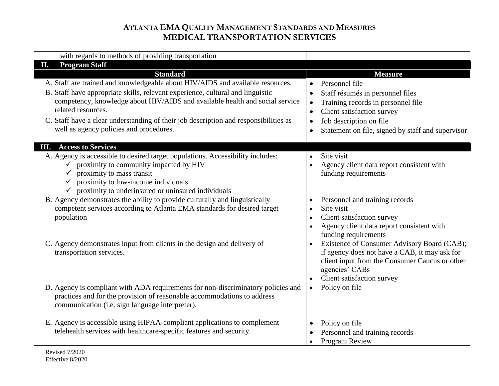| with regards to methods of providing transportation                                  |                                                                                  |
|--------------------------------------------------------------------------------------|----------------------------------------------------------------------------------|
| <b>Program Staff</b><br>П.                                                           |                                                                                  |
| <b>Standard</b>                                                                      | <b>Measure</b>                                                                   |
| A. Staff are trained and knowledgeable about HIV/AIDS and available resources.       | Personnel file<br>$\bullet$                                                      |
| B. Staff have appropriate skills, relevant experience, cultural and linguistic       | Staff résumés in personnel files<br>$\bullet$                                    |
| competency, knowledge about HIV/AIDS and available health and social service         | Training records in personnel file<br>$\bullet$                                  |
| related resources.                                                                   | Client satisfaction survey<br>$\bullet$                                          |
| C. Staff have a clear understanding of their job description and responsibilities as | Job description on file<br>$\bullet$                                             |
| well as agency policies and procedures.                                              | Statement on file, signed by staff and supervisor<br>$\bullet$                   |
| <b>III.</b> Access to Services                                                       |                                                                                  |
| A. Agency is accessible to desired target populations. Accessibility includes:       | Site visit<br>$\bullet$                                                          |
| $\checkmark$ proximity to community impacted by HIV                                  | Agency client data report consistent with                                        |
| proximity to mass transit                                                            | funding requirements                                                             |
| proximity to low-income individuals                                                  |                                                                                  |
| proximity to underinsured or uninsured individuals                                   |                                                                                  |
| B. Agency demonstrates the ability to provide culturally and linguistically          | Personnel and training records<br>$\bullet$                                      |
| competent services according to Atlanta EMA standards for desired target             | Site visit<br>$\bullet$                                                          |
| population                                                                           | Client satisfaction survey<br>$\bullet$                                          |
|                                                                                      | Agency client data report consistent with<br>$\bullet$                           |
| C. Agency demonstrates input from clients in the design and delivery of              | funding requirements<br>Existence of Consumer Advisory Board (CAB);<br>$\bullet$ |
| transportation services.                                                             | if agency does not have a CAB, it may ask for                                    |
|                                                                                      | client input from the Consumer Caucus or other                                   |
|                                                                                      | agencies' CABs                                                                   |
|                                                                                      | Client satisfaction survey                                                       |
| D. Agency is compliant with ADA requirements for non-discriminatory policies and     | Policy on file<br>$\bullet$                                                      |
| practices and for the provision of reasonable accommodations to address              |                                                                                  |
| communication (i.e. sign language interpreter).                                      |                                                                                  |
|                                                                                      |                                                                                  |
| E. Agency is accessible using HIPAA-compliant applications to complement             | Policy on file<br>$\bullet$                                                      |
| telehealth services with healthcare-specific features and security.                  | Personnel and training records                                                   |
|                                                                                      | Program Review                                                                   |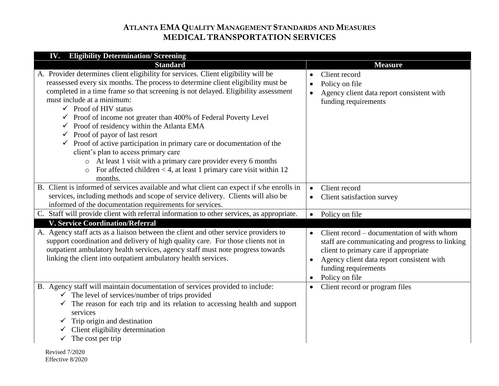| <b>IV.</b> Eligibility Determination/Screening                                                                                                                                                                                                                                                                                                                                                                                                                                                                                                                                                                                                                                                                                                                                                                      |                                                                                                                                                                                                                                                         |
|---------------------------------------------------------------------------------------------------------------------------------------------------------------------------------------------------------------------------------------------------------------------------------------------------------------------------------------------------------------------------------------------------------------------------------------------------------------------------------------------------------------------------------------------------------------------------------------------------------------------------------------------------------------------------------------------------------------------------------------------------------------------------------------------------------------------|---------------------------------------------------------------------------------------------------------------------------------------------------------------------------------------------------------------------------------------------------------|
| <b>Standard</b>                                                                                                                                                                                                                                                                                                                                                                                                                                                                                                                                                                                                                                                                                                                                                                                                     | <b>Measure</b>                                                                                                                                                                                                                                          |
| A. Provider determines client eligibility for services. Client eligibility will be<br>reassessed every six months. The process to determine client eligibility must be<br>completed in a time frame so that screening is not delayed. Eligibility assessment<br>must include at a minimum:<br>$\checkmark$ Proof of HIV status<br>$\checkmark$ Proof of income not greater than 400% of Federal Poverty Level<br>$\checkmark$ Proof of residency within the Atlanta EMA<br>$\checkmark$ Proof of payor of last resort<br>$\checkmark$ Proof of active participation in primary care or documentation of the<br>client's plan to access primary care<br>o At least 1 visit with a primary care provider every 6 months<br>For affected children $<$ 4, at least 1 primary care visit within 12<br>$\circ$<br>months. | Client record<br>$\bullet$<br>Policy on file<br>$\bullet$<br>Agency client data report consistent with<br>$\bullet$<br>funding requirements                                                                                                             |
| B. Client is informed of services available and what client can expect if s/he enrolls in<br>services, including methods and scope of service delivery. Clients will also be<br>informed of the documentation requirements for services.                                                                                                                                                                                                                                                                                                                                                                                                                                                                                                                                                                            | Client record<br>$\bullet$<br>Client satisfaction survey<br>$\bullet$                                                                                                                                                                                   |
| C. Staff will provide client with referral information to other services, as appropriate.                                                                                                                                                                                                                                                                                                                                                                                                                                                                                                                                                                                                                                                                                                                           | Policy on file<br>$\bullet$                                                                                                                                                                                                                             |
| <b>V. Service Coordination/Referral</b>                                                                                                                                                                                                                                                                                                                                                                                                                                                                                                                                                                                                                                                                                                                                                                             |                                                                                                                                                                                                                                                         |
| A. Agency staff acts as a liaison between the client and other service providers to<br>support coordination and delivery of high quality care. For those clients not in<br>outpatient ambulatory health services, agency staff must note progress towards<br>linking the client into outpatient ambulatory health services.                                                                                                                                                                                                                                                                                                                                                                                                                                                                                         | Client record – documentation of with whom<br>$\bullet$<br>staff are communicating and progress to linking<br>client to primary care if appropriate<br>Agency client data report consistent with<br>funding requirements<br>Policy on file<br>$\bullet$ |
| B. Agency staff will maintain documentation of services provided to include:<br>$\checkmark$ The level of services/number of trips provided<br>$\checkmark$ The reason for each trip and its relation to accessing health and support<br>services<br>$\checkmark$ Trip origin and destination<br>Client eligibility determination<br>The cost per trip<br>$\checkmark$<br>Revised 7/2020                                                                                                                                                                                                                                                                                                                                                                                                                            | Client record or program files<br>$\bullet$                                                                                                                                                                                                             |